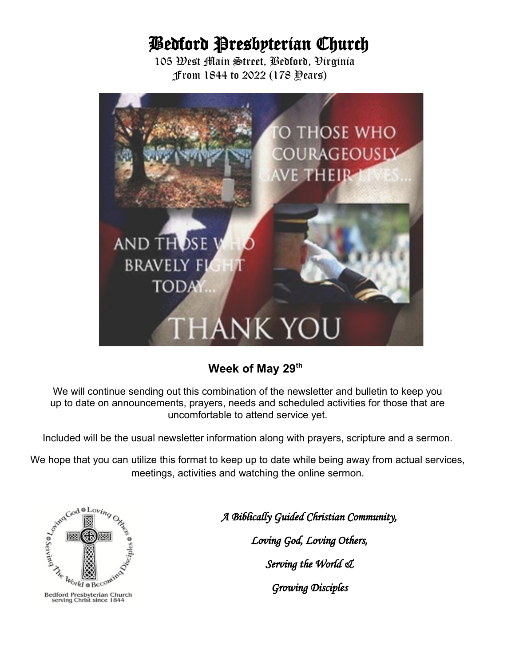# Bedford Presbyterian Church

 105 West Main Street, Bedford, Virginia From 1844 to 2022 (178 Years)



## **Week of May 29th**

We will continue sending out this combination of the newsletter and bulletin to keep you up to date on announcements, prayers, needs and scheduled activities for those that are uncomfortable to attend service yet.

Included will be the usual newsletter information along with prayers, scripture and a sermon.

We hope that you can utilize this format to keep up to date while being away from actual services, meetings, activities and watching the online sermon.



 *A Biblically Guided Christian Community,*

*Loving God, Loving Others, Serving the World &*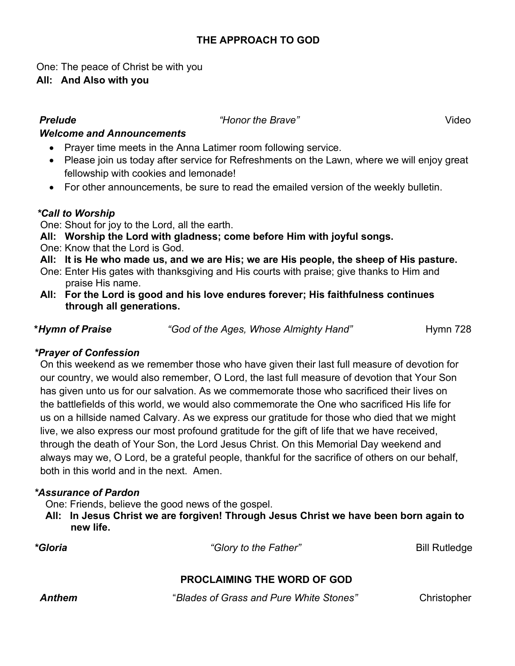#### **THE APPROACH TO GOD**

One: The peace of Christ be with you

### **All: And Also with you**

 *Prelude "Honor the Brave"* Video

### *Welcome and Announcements*

- Prayer time meets in the Anna Latimer room following service.
- Please join us today after service for Refreshments on the Lawn, where we will enjoy great fellowship with cookies and lemonade!
- For other announcements, be sure to read the emailed version of the weekly bulletin.

### *\*Call to Worship*

One: Shout for joy to the Lord, all the earth.

- **All: Worship the Lord with gladness; come before Him with joyful songs.**
- One: Know that the Lord is God.
- **All: It is He who made us, and we are His; we are His people, the sheep of His pasture.**
- One: Enter His gates with thanksgiving and His courts with praise; give thanks to Him and praise His name.
- **All: For the Lord is good and his love endures forever; His faithfulness continues through all generations.**

| *Hymn of Praise | "God of the Ages, Whose Almighty Hand" | Hymn 728 |
|-----------------|----------------------------------------|----------|
|                 |                                        |          |

#### *\*Prayer of Confession*

On this weekend as we remember those who have given their last full measure of devotion for our country, we would also remember, O Lord, the last full measure of devotion that Your Son has given unto us for our salvation. As we commemorate those who sacrificed their lives on the battlefields of this world, we would also commemorate the One who sacrificed His life for us on a hillside named Calvary. As we express our gratitude for those who died that we might live, we also express our most profound gratitude for the gift of life that we have received, through the death of Your Son, the Lord Jesus Christ. On this Memorial Day weekend and always may we, O Lord, be a grateful people, thankful for the sacrifice of others on our behalf, both in this world and in the next. Amen.

#### *\*Assurance of Pardon*

One: Friends, believe the good news of the gospel.

 **All: In Jesus Christ we are forgiven! Through Jesus Christ we have been born again to new life.**

| <i>*Gloria</i> | "Glory to the Father" | <b>Bill Rutledge</b> |
|----------------|-----------------------|----------------------|
|                |                       |                      |

### **PROCLAIMING THE WORD OF GOD**

 *Anthem* "*Blades of Grass and Pure White Stones"* Christopher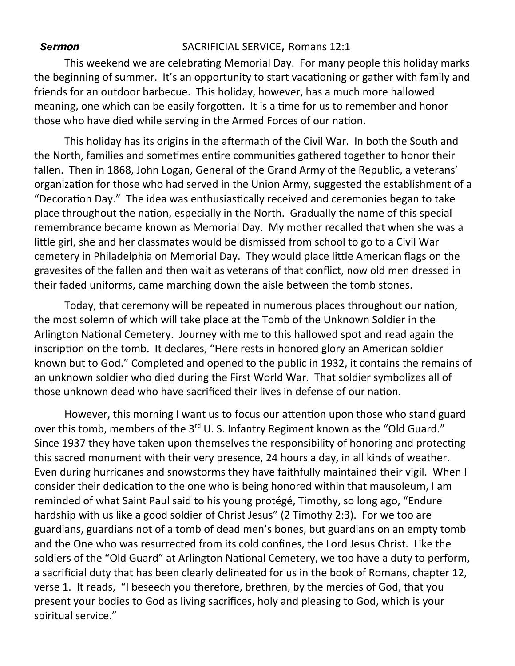#### **Sermon SACRIFICIAL SERVICE, Romans 12:1**

This weekend we are celebrating Memorial Day. For many people this holiday marks the beginning of summer. It's an opportunity to start vacationing or gather with family and friends for an outdoor barbecue. This holiday, however, has a much more hallowed meaning, one which can be easily forgotten. It is a time for us to remember and honor those who have died while serving in the Armed Forces of our nation.

This holiday has its origins in the aftermath of the Civil War. In both the South and the North, families and sometimes entire communities gathered together to honor their fallen. Then in 1868, John Logan, General of the Grand Army of the Republic, a veterans' organization for those who had served in the Union Army, suggested the establishment of a "Decoration Day." The idea was enthusiastically received and ceremonies began to take place throughout the nation, especially in the North. Gradually the name of this special remembrance became known as Memorial Day. My mother recalled that when she was a little girl, she and her classmates would be dismissed from school to go to a Civil War cemetery in Philadelphia on Memorial Day. They would place little American flags on the gravesites of the fallen and then wait as veterans of that conflict, now old men dressed in their faded uniforms, came marching down the aisle between the tomb stones.

Today, that ceremony will be repeated in numerous places throughout our nation, the most solemn of which will take place at the Tomb of the Unknown Soldier in the Arlington National Cemetery. Journey with me to this hallowed spot and read again the inscription on the tomb. It declares, "Here rests in honored glory an American soldier known but to God." Completed and opened to the public in 1932, it contains the remains of an unknown soldier who died during the First World War. That soldier symbolizes all of those unknown dead who have sacrificed their lives in defense of our nation.

However, this morning I want us to focus our attention upon those who stand guard over this tomb, members of the  $3^{rd}$  U. S. Infantry Regiment known as the "Old Guard." Since 1937 they have taken upon themselves the responsibility of honoring and protecting this sacred monument with their very presence, 24 hours a day, in all kinds of weather. Even during hurricanes and snowstorms they have faithfully maintained their vigil. When I consider their dedication to the one who is being honored within that mausoleum, I am reminded of what Saint Paul said to his young protégé, Timothy, so long ago, "Endure hardship with us like a good soldier of Christ Jesus" (2 Timothy 2:3). For we too are guardians, guardians not of a tomb of dead men's bones, but guardians on an empty tomb and the One who was resurrected from its cold confines, the Lord Jesus Christ. Like the soldiers of the "Old Guard" at Arlington National Cemetery, we too have a duty to perform, a sacrificial duty that has been clearly delineated for us in the book of Romans, chapter 12, verse 1. It reads, "I beseech you therefore, brethren, by the mercies of God, that you present your bodies to God as living sacrifices, holy and pleasing to God, which is your spiritual service."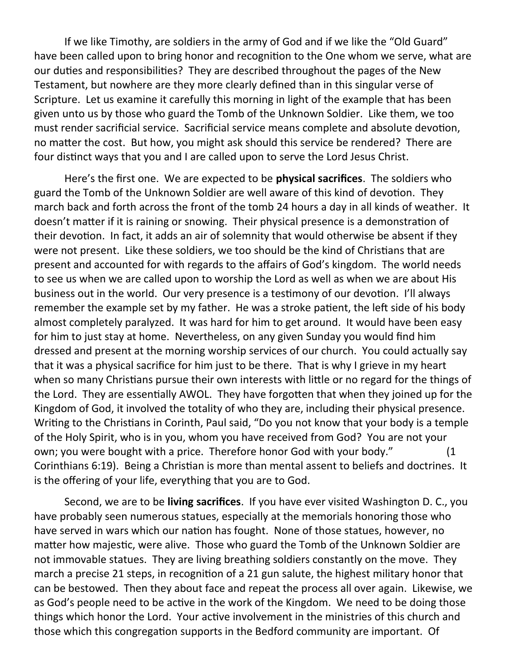If we like Timothy, are soldiers in the army of God and if we like the "Old Guard" have been called upon to bring honor and recognition to the One whom we serve, what are our duties and responsibilities? They are described throughout the pages of the New Testament, but nowhere are they more clearly defined than in this singular verse of Scripture. Let us examine it carefully this morning in light of the example that has been given unto us by those who guard the Tomb of the Unknown Soldier. Like them, we too must render sacrificial service. Sacrificial service means complete and absolute devotion, no matter the cost. But how, you might ask should this service be rendered? There are four distinct ways that you and I are called upon to serve the Lord Jesus Christ.

Here's the first one. We are expected to be **physical sacrifices**. The soldiers who guard the Tomb of the Unknown Soldier are well aware of this kind of devotion. They march back and forth across the front of the tomb 24 hours a day in all kinds of weather. It doesn't matter if it is raining or snowing. Their physical presence is a demonstration of their devotion. In fact, it adds an air of solemnity that would otherwise be absent if they were not present. Like these soldiers, we too should be the kind of Christians that are present and accounted for with regards to the affairs of God's kingdom. The world needs to see us when we are called upon to worship the Lord as well as when we are about His business out in the world. Our very presence is a testimony of our devotion. I'll always remember the example set by my father. He was a stroke patient, the left side of his body almost completely paralyzed. It was hard for him to get around. It would have been easy for him to just stay at home. Nevertheless, on any given Sunday you would find him dressed and present at the morning worship services of our church. You could actually say that it was a physical sacrifice for him just to be there. That is why I grieve in my heart when so many Christians pursue their own interests with little or no regard for the things of the Lord. They are essentially AWOL. They have forgotten that when they joined up for the Kingdom of God, it involved the totality of who they are, including their physical presence. Writing to the Christians in Corinth, Paul said, "Do you not know that your body is a temple of the Holy Spirit, who is in you, whom you have received from God? You are not your own; you were bought with a price. Therefore honor God with your body." (1 Corinthians 6:19). Being a Christian is more than mental assent to beliefs and doctrines. It is the offering of your life, everything that you are to God.

Second, we are to be **living sacrifices**. If you have ever visited Washington D. C., you have probably seen numerous statues, especially at the memorials honoring those who have served in wars which our nation has fought. None of those statues, however, no matter how majestic, were alive. Those who guard the Tomb of the Unknown Soldier are not immovable statues. They are living breathing soldiers constantly on the move. They march a precise 21 steps, in recognition of a 21 gun salute, the highest military honor that can be bestowed. Then they about face and repeat the process all over again. Likewise, we as God's people need to be active in the work of the Kingdom. We need to be doing those things which honor the Lord. Your active involvement in the ministries of this church and those which this congregation supports in the Bedford community are important. Of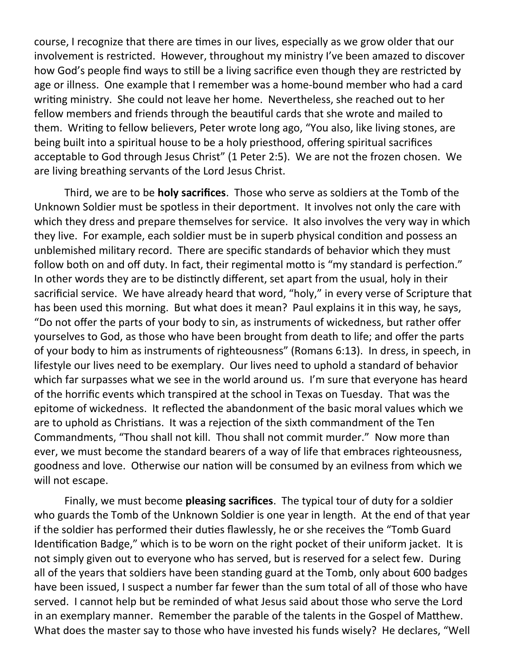course, I recognize that there are times in our lives, especially as we grow older that our involvement is restricted. However, throughout my ministry I've been amazed to discover how God's people find ways to still be a living sacrifice even though they are restricted by age or illness. One example that I remember was a home-bound member who had a card writing ministry. She could not leave her home. Nevertheless, she reached out to her fellow members and friends through the beautiful cards that she wrote and mailed to them. Writing to fellow believers, Peter wrote long ago, "You also, like living stones, are being built into a spiritual house to be a holy priesthood, offering spiritual sacrifices acceptable to God through Jesus Christ" (1 Peter 2:5). We are not the frozen chosen. We are living breathing servants of the Lord Jesus Christ.

Third, we are to be **holy sacrifices**. Those who serve as soldiers at the Tomb of the Unknown Soldier must be spotless in their deportment. It involves not only the care with which they dress and prepare themselves for service. It also involves the very way in which they live. For example, each soldier must be in superb physical condition and possess an unblemished military record. There are specific standards of behavior which they must follow both on and off duty. In fact, their regimental motto is "my standard is perfection." In other words they are to be distinctly different, set apart from the usual, holy in their sacrificial service. We have already heard that word, "holy," in every verse of Scripture that has been used this morning. But what does it mean? Paul explains it in this way, he says, "Do not offer the parts of your body to sin, as instruments of wickedness, but rather offer yourselves to God, as those who have been brought from death to life; and offer the parts of your body to him as instruments of righteousness" (Romans 6:13). In dress, in speech, in lifestyle our lives need to be exemplary. Our lives need to uphold a standard of behavior which far surpasses what we see in the world around us. I'm sure that everyone has heard of the horrific events which transpired at the school in Texas on Tuesday. That was the epitome of wickedness. It reflected the abandonment of the basic moral values which we are to uphold as Christians. It was a rejection of the sixth commandment of the Ten Commandments, "Thou shall not kill. Thou shall not commit murder." Now more than ever, we must become the standard bearers of a way of life that embraces righteousness, goodness and love. Otherwise our nation will be consumed by an evilness from which we will not escape.

Finally, we must become **pleasing sacrifices**. The typical tour of duty for a soldier who guards the Tomb of the Unknown Soldier is one year in length. At the end of that year if the soldier has performed their duties flawlessly, he or she receives the "Tomb Guard Identification Badge," which is to be worn on the right pocket of their uniform jacket. It is not simply given out to everyone who has served, but is reserved for a select few. During all of the years that soldiers have been standing guard at the Tomb, only about 600 badges have been issued, I suspect a number far fewer than the sum total of all of those who have served. I cannot help but be reminded of what Jesus said about those who serve the Lord in an exemplary manner. Remember the parable of the talents in the Gospel of Matthew. What does the master say to those who have invested his funds wisely? He declares, "Well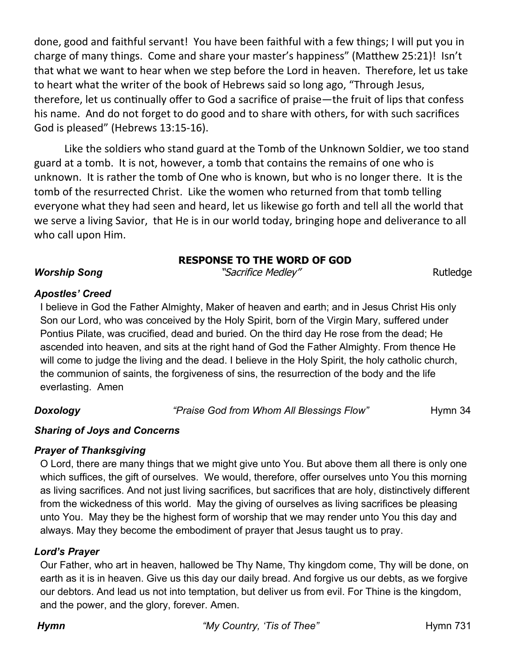done, good and faithful servant! You have been faithful with a few things; I will put you in charge of many things. Come and share your master's happiness" (Matthew 25:21)! Isn't that what we want to hear when we step before the Lord in heaven. Therefore, let us take to heart what the writer of the book of Hebrews said so long ago, "Through Jesus, therefore, let us continually offer to God a sacrifice of praise—the fruit of lips that confess his name. And do not forget to do good and to share with others, for with such sacrifices God is pleased" (Hebrews 13:15-16).

Like the soldiers who stand guard at the Tomb of the Unknown Soldier, we too stand guard at a tomb. It is not, however, a tomb that contains the remains of one who is unknown. It is rather the tomb of One who is known, but who is no longer there. It is the tomb of the resurrected Christ. Like the women who returned from that tomb telling everyone what they had seen and heard, let us likewise go forth and tell all the world that we serve a living Savior, that He is in our world today, bringing hope and deliverance to all who call upon Him.

#### **RESPONSE TO THE WORD OF GOD**

*Worship Song*"Sacrifice Medley" Rutledge

#### *Apostles' Creed*

I believe in God the Father Almighty, Maker of heaven and earth; and in Jesus Christ His only Son our Lord, who was conceived by the Holy Spirit, born of the Virgin Mary, suffered under Pontius Pilate, was crucified, dead and buried. On the third day He rose from the dead; He ascended into heaven, and sits at the right hand of God the Father Almighty. From thence He will come to judge the living and the dead. I believe in the Holy Spirit, the holy catholic church, the communion of saints, the forgiveness of sins, the resurrection of the body and the life everlasting. Amen

**Doxology** *Praise God from Whom All Blessings Flow Hymn 34* 

#### *Sharing of Joys and Concerns*

#### *Prayer of Thanksgiving*

O Lord, there are many things that we might give unto You. But above them all there is only one which suffices, the gift of ourselves. We would, therefore, offer ourselves unto You this morning as living sacrifices. And not just living sacrifices, but sacrifices that are holy, distinctively different from the wickedness of this world. May the giving of ourselves as living sacrifices be pleasing unto You. May they be the highest form of worship that we may render unto You this day and always. May they become the embodiment of prayer that Jesus taught us to pray.

### *Lord's Prayer*

Our Father, who art in heaven, hallowed be Thy Name, Thy kingdom come, Thy will be done, on earth as it is in heaven. Give us this day our daily bread. And forgive us our debts, as we forgive our debtors. And lead us not into temptation, but deliver us from evil. For Thine is the kingdom, and the power, and the glory, forever. Amen.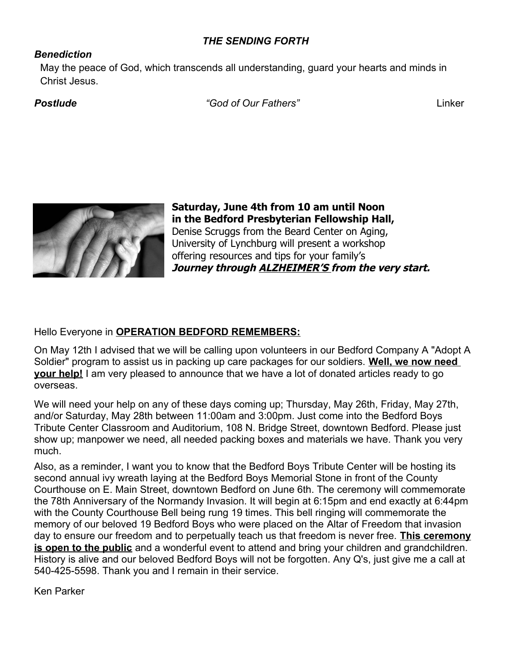#### *THE SENDING FORTH*

#### *Benediction*

May the peace of God, which transcends all understanding, guard your hearts and minds in Christ Jesus.

*Postlude "God of Our Fathers"* Linker



**Saturday, June 4th from 10 am until Noon in the Bedford Presbyterian Fellowship Hall,** Denise Scruggs from the Beard Center on Aging, University of Lynchburg will present a workshop offering resources and tips for your family's **Journey through ALZHEIMER'S from the very start.**

#### Hello Everyone in **OPERATION BEDFORD REMEMBERS:**

On May 12th I advised that we will be calling upon volunteers in our Bedford Company A "Adopt A Soldier" program to assist us in packing up care packages for our soldiers. **Well, we now need your help!** I am very pleased to announce that we have a lot of donated articles ready to go overseas.

We will need your help on any of these days coming up; Thursday, May 26th, Friday, May 27th, and/or Saturday, May 28th between 11:00am and 3:00pm. Just come into the Bedford Boys Tribute Center Classroom and Auditorium, 108 N. Bridge Street, downtown Bedford. Please just show up; manpower we need, all needed packing boxes and materials we have. Thank you very much.

Also, as a reminder, I want you to know that the Bedford Boys Tribute Center will be hosting its second annual ivy wreath laying at the Bedford Boys Memorial Stone in front of the County Courthouse on E. Main Street, downtown Bedford on June 6th. The ceremony will commemorate the 78th Anniversary of the Normandy Invasion. It will begin at 6:15pm and end exactly at 6:44pm with the County Courthouse Bell being rung 19 times. This bell ringing will commemorate the memory of our beloved 19 Bedford Boys who were placed on the Altar of Freedom that invasion day to ensure our freedom and to perpetually teach us that freedom is never free. **This ceremony is open to the public** and a wonderful event to attend and bring your children and grandchildren. History is alive and our beloved Bedford Boys will not be forgotten. Any Q's, just give me a call at 540-425-5598. Thank you and I remain in their service.

Ken Parker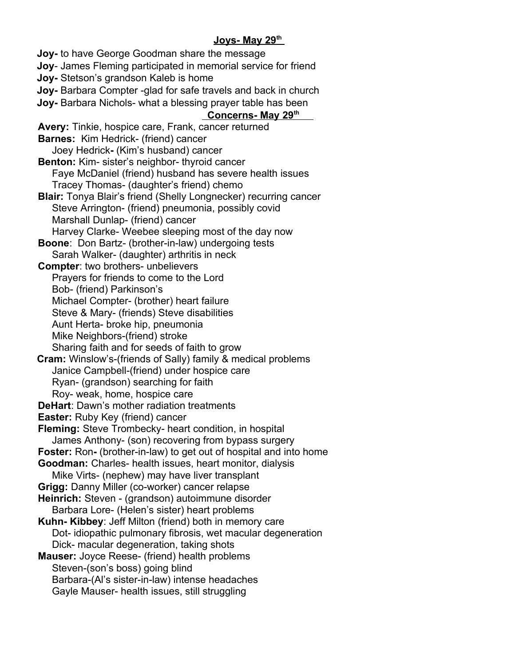**Joy-** to have George Goodman share the message

**Joy**- James Fleming participated in memorial service for friend

**Joy-** Stetson's grandson Kaleb is home

**Joy-** Barbara Compter -glad for safe travels and back in church

**Joy-** Barbara Nichols- what a blessing prayer table has been

#### **Concerns- May 29th**

**Avery:** Tinkie, hospice care, Frank, cancer returned **Barnes:** Kim Hedrick- (friend) cancer Joey Hedrick**-** (Kim's husband) cancer **Benton:** Kim- sister's neighbor- thyroid cancer Faye McDaniel (friend) husband has severe health issues Tracey Thomas- (daughter's friend) chemo **Blair:** Tonya Blair's friend (Shelly Longnecker) recurring cancer Steve Arrington- (friend) pneumonia, possibly covid Marshall Dunlap- (friend) cancer Harvey Clarke- Weebee sleeping most of the day now **Boone**: Don Bartz- (brother-in-law) undergoing tests Sarah Walker- (daughter) arthritis in neck **Compter**: two brothers- unbelievers Prayers for friends to come to the Lord Bob- (friend) Parkinson's Michael Compter- (brother) heart failure Steve & Mary- (friends) Steve disabilities Aunt Herta- broke hip, pneumonia Mike Neighbors-(friend) stroke Sharing faith and for seeds of faith to grow **Cram:** Winslow's-(friends of Sally) family & medical problems Janice Campbell-(friend) under hospice care Ryan- (grandson) searching for faith Roy- weak, home, hospice care **DeHart**: Dawn's mother radiation treatments **Easter:** Ruby Key (friend) cancer **Fleming:** Steve Trombecky- heart condition, in hospital James Anthony- (son) recovering from bypass surgery **Foster:** Ron**-** (brother-in-law) to get out of hospital and into home **Goodman:** Charles- health issues, heart monitor, dialysis Mike Virts- (nephew) may have liver transplant **Grigg:** Danny Miller (co-worker) cancer relapse **Heinrich:** Steven - (grandson) autoimmune disorder Barbara Lore- (Helen's sister) heart problems **Kuhn- Kibbey**: Jeff Milton (friend) both in memory care Dot- idiopathic pulmonary fibrosis, wet macular degeneration Dick- macular degeneration, taking shots **Mauser:** Joyce Reese- (friend) health problems Steven-(son's boss) going blind Barbara-(Al's sister-in-law) intense headaches Gayle Mauser- health issues, still struggling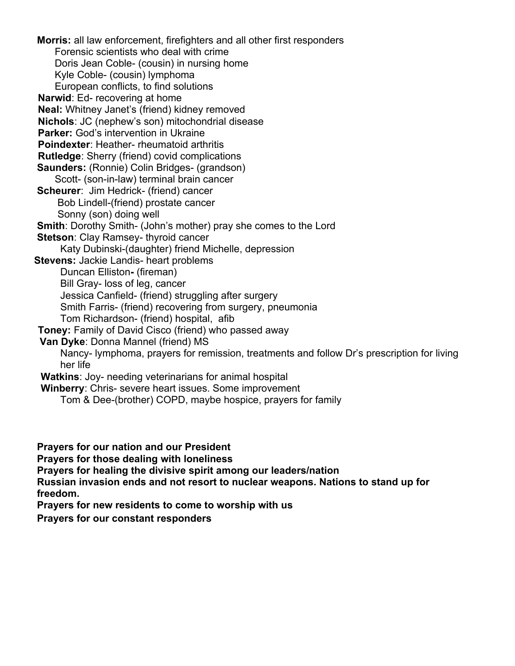**Morris:** all law enforcement, firefighters and all other first responders Forensic scientists who deal with crime Doris Jean Coble- (cousin) in nursing home Kyle Coble- (cousin) lymphoma European conflicts, to find solutions **Narwid**: Ed- recovering at home **Neal:** Whitney Janet's (friend) kidney removed **Nichols**: JC (nephew's son) mitochondrial disease **Parker:** God's intervention in Ukraine **Poindexter**: Heather- rheumatoid arthritis **Rutledge**: Sherry (friend) covid complications **Saunders:** (Ronnie) Colin Bridges- (grandson) Scott- (son-in-law) terminal brain cancer **Scheurer**: Jim Hedrick- (friend) cancer Bob Lindell-(friend) prostate cancer Sonny (son) doing well **Smith**: Dorothy Smith- (John's mother) pray she comes to the Lord **Stetson**: Clay Ramsey- thyroid cancer Katy Dubinski-(daughter) friend Michelle, depression **Stevens:** Jackie Landis- heart problems Duncan Elliston**-** (fireman) Bill Gray- loss of leg, cancer Jessica Canfield- (friend) struggling after surgery Smith Farris- (friend) recovering from surgery, pneumonia Tom Richardson- (friend) hospital, afib **Toney:** Family of David Cisco (friend) who passed away  **Van Dyke**: Donna Mannel (friend) MS Nancy- lymphoma, prayers for remission, treatments and follow Dr's prescription for living her life **Watkins**: Joy- needing veterinarians for animal hospital **Winberry**: Chris- severe heart issues. Some improvement Tom & Dee-(brother) COPD, maybe hospice, prayers for family

**Prayers for our nation and our President**

**Prayers for those dealing with loneliness** 

**Prayers for healing the divisive spirit among our leaders/nation**

**Russian invasion ends and not resort to nuclear weapons. Nations to stand up for freedom.**

**Prayers for new residents to come to worship with us** 

**Prayers for our constant responders**